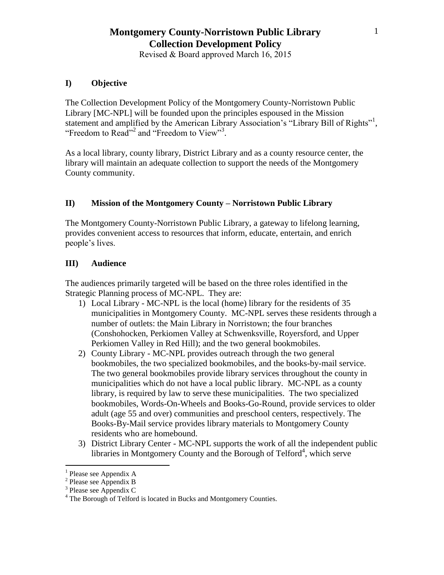Revised & Board approved March 16, 2015

### **I) Objective**

The Collection Development Policy of the Montgomery County-Norristown Public Library [MC-NPL] will be founded upon the principles espoused in the Mission statement and amplified by the American Library Association's "Library Bill of Rights"<sup>1</sup>, "Freedom to Read"<sup>2</sup> and "Freedom to View"<sup>3</sup>.

As a local library, county library, District Library and as a county resource center, the library will maintain an adequate collection to support the needs of the Montgomery County community.

### **II) Mission of the Montgomery County – Norristown Public Library**

The Montgomery County-Norristown Public Library, a gateway to lifelong learning, provides convenient access to resources that inform, educate, entertain, and enrich people's lives.

### **III) Audience**

The audiences primarily targeted will be based on the three roles identified in the Strategic Planning process of MC-NPL. They are:

- 1) Local Library MC-NPL is the local (home) library for the residents of 35 municipalities in Montgomery County. MC-NPL serves these residents through a number of outlets: the Main Library in Norristown; the four branches (Conshohocken, Perkiomen Valley at Schwenksville, Royersford, and Upper Perkiomen Valley in Red Hill); and the two general bookmobiles.
- 2) County Library MC-NPL provides outreach through the two general bookmobiles, the two specialized bookmobiles, and the books-by-mail service. The two general bookmobiles provide library services throughout the county in municipalities which do not have a local public library. MC-NPL as a county library, is required by law to serve these municipalities. The two specialized bookmobiles, Words-On-Wheels and Books-Go-Round, provide services to older adult (age 55 and over) communities and preschool centers, respectively. The Books-By-Mail service provides library materials to Montgomery County residents who are homebound.
- 3) District Library Center MC-NPL supports the work of all the independent public libraries in Montgomery County and the Borough of Telford<sup>4</sup>, which serve

 $\overline{a}$ 

<sup>1</sup> Please see Appendix A

<sup>&</sup>lt;sup>2</sup> Please see Appendix B

<sup>&</sup>lt;sup>3</sup> Please see Appendix C

<sup>&</sup>lt;sup>4</sup> The Borough of Telford is located in Bucks and Montgomery Counties.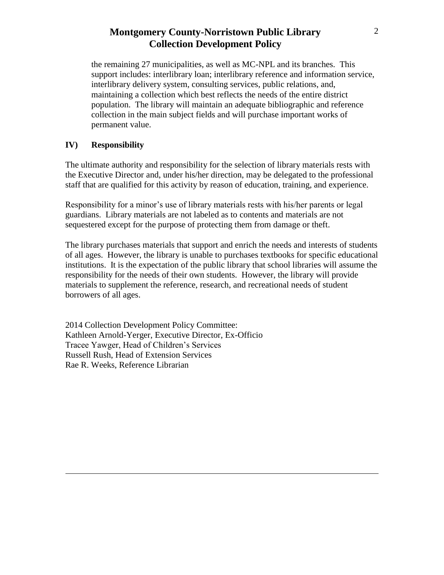the remaining 27 municipalities, as well as MC-NPL and its branches. This support includes: interlibrary loan; interlibrary reference and information service, interlibrary delivery system, consulting services, public relations, and, maintaining a collection which best reflects the needs of the entire district population. The library will maintain an adequate bibliographic and reference collection in the main subject fields and will purchase important works of permanent value.

### **IV) Responsibility**

 $\overline{a}$ 

The ultimate authority and responsibility for the selection of library materials rests with the Executive Director and, under his/her direction, may be delegated to the professional staff that are qualified for this activity by reason of education, training, and experience.

Responsibility for a minor's use of library materials rests with his/her parents or legal guardians. Library materials are not labeled as to contents and materials are not sequestered except for the purpose of protecting them from damage or theft.

The library purchases materials that support and enrich the needs and interests of students of all ages. However, the library is unable to purchases textbooks for specific educational institutions. It is the expectation of the public library that school libraries will assume the responsibility for the needs of their own students. However, the library will provide materials to supplement the reference, research, and recreational needs of student borrowers of all ages.

2014 Collection Development Policy Committee: Kathleen Arnold-Yerger, Executive Director, Ex-Officio Tracee Yawger, Head of Children's Services Russell Rush, Head of Extension Services Rae R. Weeks, Reference Librarian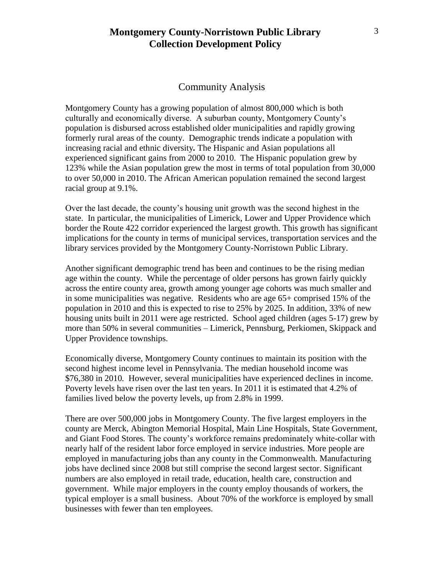### Community Analysis

Montgomery County has a growing population of almost 800,000 which is both culturally and economically diverse. A suburban county, Montgomery County's population is disbursed across established older municipalities and rapidly growing formerly rural areas of the county. Demographic trends indicate a population with increasing racial and ethnic diversity*.* The Hispanic and Asian populations all experienced significant gains from 2000 to 2010. The Hispanic population grew by 123% while the Asian population grew the most in terms of total population from 30,000 to over 50,000 in 2010. The African American population remained the second largest racial group at 9.1%.

Over the last decade, the county's housing unit growth was the second highest in the state. In particular, the municipalities of Limerick, Lower and Upper Providence which border the Route 422 corridor experienced the largest growth. This growth has significant implications for the county in terms of municipal services, transportation services and the library services provided by the Montgomery County-Norristown Public Library.

Another significant demographic trend has been and continues to be the rising median age within the county. While the percentage of older persons has grown fairly quickly across the entire county area, growth among younger age cohorts was much smaller and in some municipalities was negative. Residents who are age 65+ comprised 15% of the population in 2010 and this is expected to rise to 25% by 2025. In addition, 33% of new housing units built in 2011 were age restricted. School aged children (ages 5-17) grew by more than 50% in several communities – Limerick, Pennsburg, Perkiomen, Skippack and Upper Providence townships.

Economically diverse, Montgomery County continues to maintain its position with the second highest income level in Pennsylvania. The median household income was \$76,380 in 2010*.* However, several municipalities have experienced declines in income*.*  Poverty levels have risen over the last ten years. In 2011 it is estimated that 4.2% of families lived below the poverty levels, up from 2.8% in 1999.

There are over 500,000 jobs in Montgomery County. The five largest employers in the county are Merck, Abington Memorial Hospital, Main Line Hospitals*,* State Government, and Giant Food Stores*.* The county's workforce remains predominately white-collar with nearly half of the resident labor force employed in service industries*.* More people are employed in manufacturing jobs than any county in the Commonwealth*.* Manufacturing jobs have declined since 2008 but still comprise the second largest sector. Significant numbers are also employed in retail trade, education, health care, construction and government. While major employers in the county employ thousands of workers, the typical employer is a small business. About 70% of the workforce is employed by small businesses with fewer than ten employees.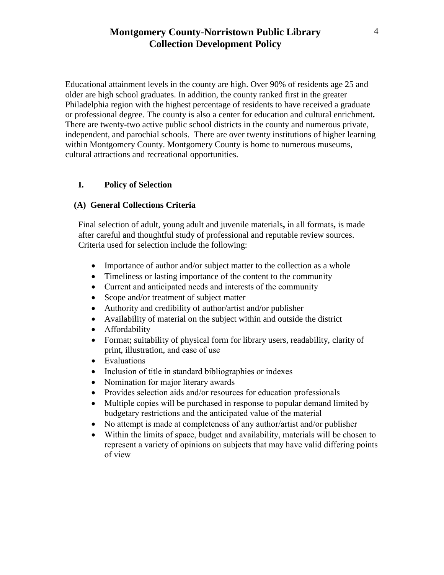Educational attainment levels in the county are high. Over 90% of residents age 25 and older are high school graduates. In addition, the county ranked first in the greater Philadelphia region with the highest percentage of residents to have received a graduate or professional degree. The county is also a center for education and cultural enrichment*.* There are twenty-two active public school districts in the county and numerous private, independent, and parochial schools. There are over twenty institutions of higher learning within Montgomery County. Montgomery County is home to numerous museums, cultural attractions and recreational opportunities.

#### **I. Policy of Selection**

#### **(A) General Collections Criteria**

Final selection of adult, young adult and juvenile materials**,** in all formats**,** is made after careful and thoughtful study of professional and reputable review sources. Criteria used for selection include the following:

- Importance of author and/or subject matter to the collection as a whole
- Timeliness or lasting importance of the content to the community
- Current and anticipated needs and interests of the community
- Scope and/or treatment of subject matter
- Authority and credibility of author/artist and/or publisher
- Availability of material on the subject within and outside the district
- **•** Affordability
- Format; suitability of physical form for library users, readability, clarity of print, illustration, and ease of use
- Evaluations
- Inclusion of title in standard bibliographies or indexes
- Nomination for major literary awards
- Provides selection aids and/or resources for education professionals
- Multiple copies will be purchased in response to popular demand limited by budgetary restrictions and the anticipated value of the material
- No attempt is made at completeness of any author/artist and/or publisher
- Within the limits of space, budget and availability, materials will be chosen to represent a variety of opinions on subjects that may have valid differing points of view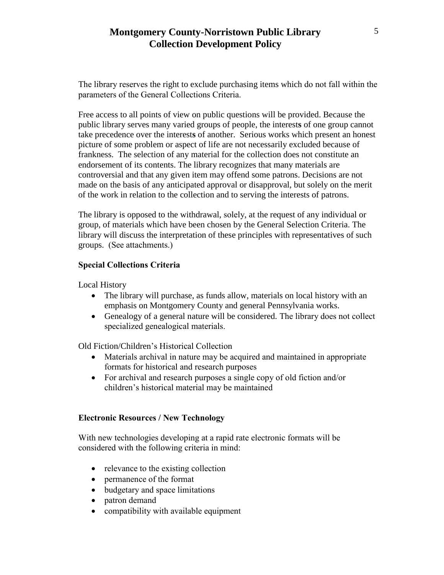The library reserves the right to exclude purchasing items which do not fall within the parameters of the General Collections Criteria.

Free access to all points of view on public questions will be provided. Because the public library serves many varied groups of people, the interest**s** of one group cannot take precedence over the interest**s** of another. Serious works which present an honest picture of some problem or aspect of life are not necessarily excluded because of frankness. The selection of any material for the collection does not constitute an endorsement of its contents. The library recognizes that many materials are controversial and that any given item may offend some patrons. Decisions are not made on the basis of any anticipated approval or disapproval, but solely on the merit of the work in relation to the collection and to serving the interests of patrons.

The library is opposed to the withdrawal, solely, at the request of any individual or group, of materials which have been chosen by the General Selection Criteria. The library will discuss the interpretation of these principles with representatives of such groups. (See attachments.)

### **Special Collections Criteria**

Local History

- The library will purchase, as funds allow, materials on local history with an emphasis on Montgomery County and general Pennsylvania works.
- Genealogy of a general nature will be considered. The library does not collect specialized genealogical materials.

Old Fiction/Children's Historical Collection

- Materials archival in nature may be acquired and maintained in appropriate formats for historical and research purposes
- For archival and research purposes a single copy of old fiction and/or children's historical material may be maintained

### **Electronic Resources / New Technology**

With new technologies developing at a rapid rate electronic formats will be considered with the following criteria in mind:

- relevance to the existing collection
- permanence of the format
- budgetary and space limitations
- patron demand
- compatibility with available equipment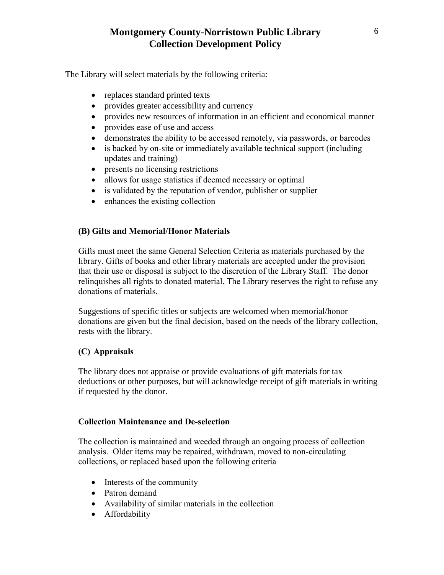The Library will select materials by the following criteria:

- replaces standard printed texts
- provides greater accessibility and currency
- provides new resources of information in an efficient and economical manner
- provides ease of use and access
- demonstrates the ability to be accessed remotely, via passwords, or barcodes
- is backed by on-site or immediately available technical support (including updates and training)
- presents no licensing restrictions
- allows for usage statistics if deemed necessary or optimal
- is validated by the reputation of vendor, publisher or supplier
- enhances the existing collection

### **(B) Gifts and Memorial/Honor Materials**

Gifts must meet the same General Selection Criteria as materials purchased by the library. Gifts of books and other library materials are accepted under the provision that their use or disposal is subject to the discretion of the Library Staff. The donor relinquishes all rights to donated material. The Library reserves the right to refuse any donations of materials.

Suggestions of specific titles or subjects are welcomed when memorial/honor donations are given but the final decision, based on the needs of the library collection, rests with the library.

## **(C) Appraisals**

The library does not appraise or provide evaluations of gift materials for tax deductions or other purposes, but will acknowledge receipt of gift materials in writing if requested by the donor.

### **Collection Maintenance and De-selection**

The collection is maintained and weeded through an ongoing process of collection analysis. Older items may be repaired, withdrawn, moved to non-circulating collections, or replaced based upon the following criteria

- Interests of the community
- Patron demand
- Availability of similar materials in the collection
- Affordability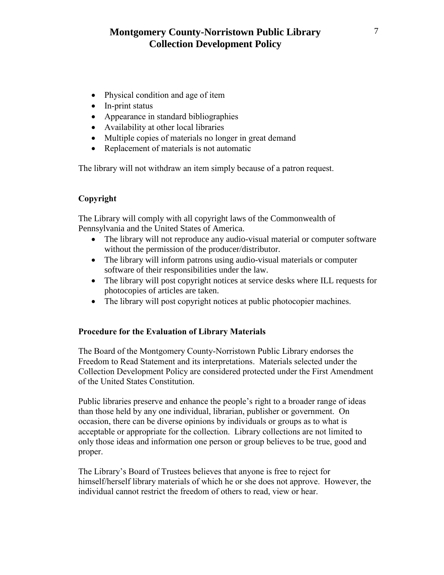- Physical condition and age of item
- In-print status
- Appearance in standard bibliographies
- Availability at other local libraries
- Multiple copies of materials no longer in great demand
- Replacement of materials is not automatic

The library will not withdraw an item simply because of a patron request.

## **Copyright**

The Library will comply with all copyright laws of the Commonwealth of Pennsylvania and the United States of America.

- The library will not reproduce any audio-visual material or computer software without the permission of the producer/distributor.
- The library will inform patrons using audio-visual materials or computer software of their responsibilities under the law.
- The library will post copyright notices at service desks where ILL requests for photocopies of articles are taken.
- The library will post copyright notices at public photocopier machines.

## **Procedure for the Evaluation of Library Materials**

The Board of the Montgomery County-Norristown Public Library endorses the Freedom to Read Statement and its interpretations. Materials selected under the Collection Development Policy are considered protected under the First Amendment of the United States Constitution.

Public libraries preserve and enhance the people's right to a broader range of ideas than those held by any one individual, librarian, publisher or government. On occasion, there can be diverse opinions by individuals or groups as to what is acceptable or appropriate for the collection. Library collections are not limited to only those ideas and information one person or group believes to be true, good and proper.

The Library's Board of Trustees believes that anyone is free to reject for himself/herself library materials of which he or she does not approve. However, the individual cannot restrict the freedom of others to read, view or hear.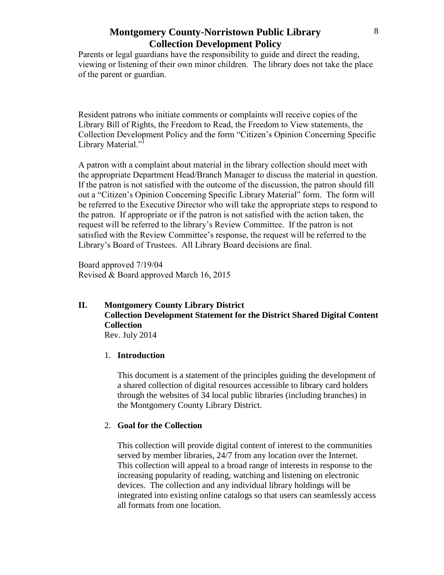Parents or legal guardians have the responsibility to guide and direct the reading, viewing or listening of their own minor children. The library does not take the place of the parent or guardian.

Resident patrons who initiate comments or complaints will receive copies of the Library Bill of Rights, the Freedom to Read, the Freedom to View statements, the Collection Development Policy and the form "Citizen's Opinion Concerning Specific Library Material."<sup>1</sup>

A patron with a complaint about material in the library collection should meet with the appropriate Department Head/Branch Manager to discuss the material in question. If the patron is not satisfied with the outcome of the discussion, the patron should fill out a "Citizen's Opinion Concerning Specific Library Material" form. The form will be referred to the Executive Director who will take the appropriate steps to respond to the patron. If appropriate or if the patron is not satisfied with the action taken, the request will be referred to the library's Review Committee. If the patron is not satisfied with the Review Committee's response, the request will be referred to the Library's Board of Trustees. All Library Board decisions are final.

Board approved 7/19/04 Revised & Board approved March 16, 2015

### **II. Montgomery County Library District Collection Development Statement for the District Shared Digital Content Collection** Rev. July 2014

### 1. **Introduction**

This document is a statement of the principles guiding the development of a shared collection of digital resources accessible to library card holders through the websites of 34 local public libraries (including branches) in the Montgomery County Library District.

### 2. **Goal for the Collection**

This collection will provide digital content of interest to the communities served by member libraries, 24/7 from any location over the Internet. This collection will appeal to a broad range of interests in response to the increasing popularity of reading, watching and listening on electronic devices. The collection and any individual library holdings will be integrated into existing online catalogs so that users can seamlessly access all formats from one location.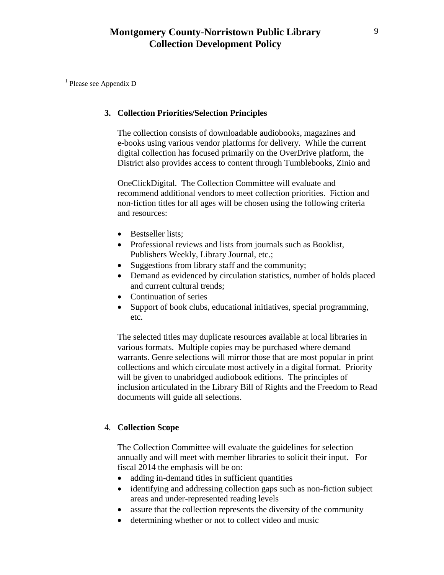<sup>1</sup> Please see Appendix D

#### **3. Collection Priorities/Selection Principles**

The collection consists of downloadable audiobooks, magazines and e-books using various vendor platforms for delivery. While the current digital collection has focused primarily on the OverDrive platform, the District also provides access to content through Tumblebooks, Zinio and

OneClickDigital. The Collection Committee will evaluate and recommend additional vendors to meet collection priorities. Fiction and non-fiction titles for all ages will be chosen using the following criteria and resources:

- Bestseller lists:
- Professional reviews and lists from journals such as Booklist, Publishers Weekly, Library Journal, etc.;
- Suggestions from library staff and the community;
- Demand as evidenced by circulation statistics, number of holds placed and current cultural trends;
- Continuation of series
- Support of book clubs, educational initiatives, special programming, etc.

The selected titles may duplicate resources available at local libraries in various formats. Multiple copies may be purchased where demand warrants. Genre selections will mirror those that are most popular in print collections and which circulate most actively in a digital format. Priority will be given to unabridged audiobook editions. The principles of inclusion articulated in the Library Bill of Rights and the Freedom to Read documents will guide all selections.

### 4. **Collection Scope**

The Collection Committee will evaluate the guidelines for selection annually and will meet with member libraries to solicit their input. For fiscal 2014 the emphasis will be on:

- adding in-demand titles in sufficient quantities
- identifying and addressing collection gaps such as non-fiction subject areas and under-represented reading levels
- assure that the collection represents the diversity of the community
- determining whether or not to collect video and music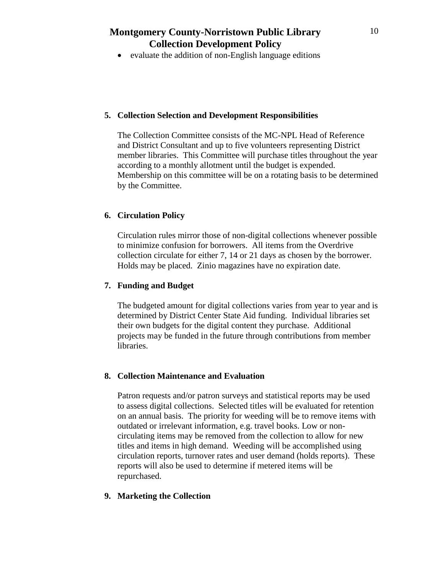evaluate the addition of non-English language editions

### **5. Collection Selection and Development Responsibilities**

The Collection Committee consists of the MC-NPL Head of Reference and District Consultant and up to five volunteers representing District member libraries. This Committee will purchase titles throughout the year according to a monthly allotment until the budget is expended. Membership on this committee will be on a rotating basis to be determined by the Committee.

### **6. Circulation Policy**

Circulation rules mirror those of non-digital collections whenever possible to minimize confusion for borrowers. All items from the Overdrive collection circulate for either 7, 14 or 21 days as chosen by the borrower. Holds may be placed. Zinio magazines have no expiration date.

### **7. Funding and Budget**

The budgeted amount for digital collections varies from year to year and is determined by District Center State Aid funding. Individual libraries set their own budgets for the digital content they purchase. Additional projects may be funded in the future through contributions from member libraries.

### **8. Collection Maintenance and Evaluation**

Patron requests and/or patron surveys and statistical reports may be used to assess digital collections. Selected titles will be evaluated for retention on an annual basis. The priority for weeding will be to remove items with outdated or irrelevant information, e.g. travel books. Low or noncirculating items may be removed from the collection to allow for new titles and items in high demand. Weeding will be accomplished using circulation reports, turnover rates and user demand (holds reports). These reports will also be used to determine if metered items will be repurchased.

### **9. Marketing the Collection**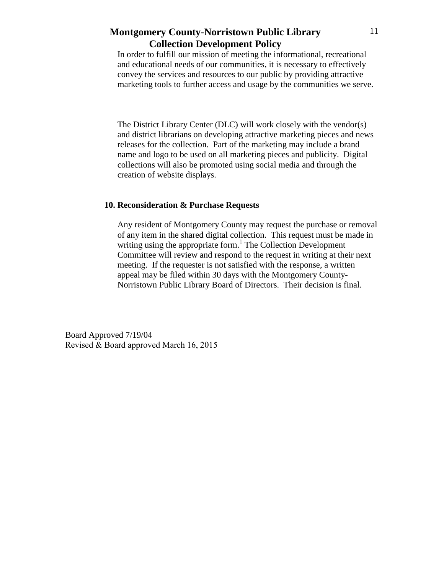In order to fulfill our mission of meeting the informational, recreational and educational needs of our communities, it is necessary to effectively convey the services and resources to our public by providing attractive marketing tools to further access and usage by the communities we serve.

The District Library Center (DLC) will work closely with the vendor(s) and district librarians on developing attractive marketing pieces and news releases for the collection. Part of the marketing may include a brand name and logo to be used on all marketing pieces and publicity. Digital collections will also be promoted using social media and through the creation of website displays.

#### **10. Reconsideration & Purchase Requests**

Any resident of Montgomery County may request the purchase or removal of any item in the shared digital collection. This request must be made in writing using the appropriate form.<sup>1</sup> The Collection Development Committee will review and respond to the request in writing at their next meeting. If the requester is not satisfied with the response, a written appeal may be filed within 30 days with the Montgomery County-Norristown Public Library Board of Directors. Their decision is final.

Board Approved 7/19/04 Revised & Board approved March 16, 2015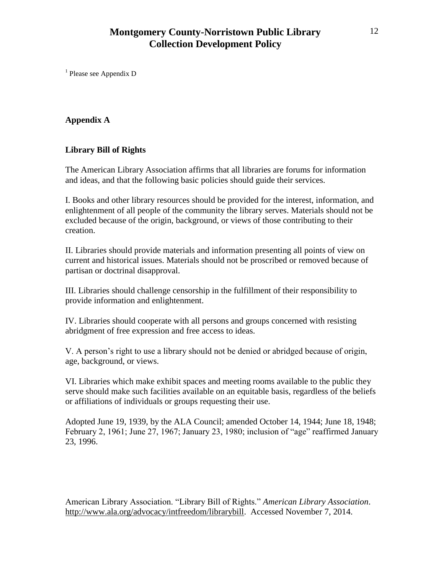<sup>1</sup> Please see Appendix D

### **Appendix A**

### **Library Bill of Rights**

The American Library Association affirms that all libraries are forums for information and ideas, and that the following basic policies should guide their services.

I. Books and other library resources should be provided for the interest, information, and enlightenment of all people of the community the library serves. Materials should not be excluded because of the origin, background, or views of those contributing to their creation.

II. Libraries should provide materials and information presenting all points of view on current and historical issues. Materials should not be proscribed or removed because of partisan or doctrinal disapproval.

III. Libraries should challenge censorship in the fulfillment of their responsibility to provide information and enlightenment.

IV. Libraries should cooperate with all persons and groups concerned with resisting abridgment of free expression and free access to ideas.

V. A person's right to use a library should not be denied or abridged because of origin, age, background, or views.

VI. Libraries which make exhibit spaces and meeting rooms available to the public they serve should make such facilities available on an equitable basis, regardless of the beliefs or affiliations of individuals or groups requesting their use.

Adopted June 19, 1939, by the ALA Council; amended October 14, 1944; June 18, 1948; February 2, 1961; June 27, 1967; January 23, 1980; inclusion of "age" reaffirmed January 23, 1996.

American Library Association. "Library Bill of Rights." *American Library Association*. [http://www.ala.org/advocacy/intfreedom/librarybill.](http://www.ala.org/advocacy/intfreedom/librarybill) Accessed November 7, 2014.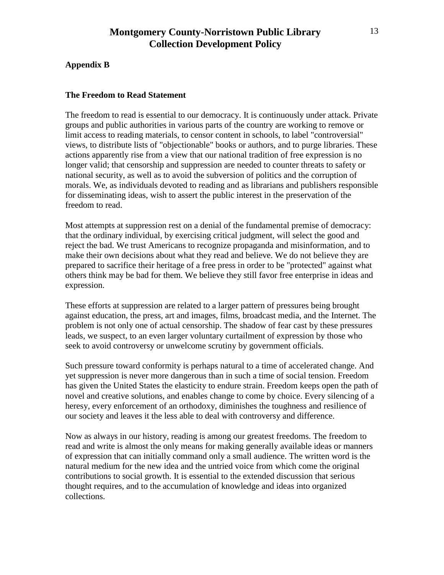### **Appendix B**

#### **The Freedom to Read Statement**

The freedom to read is essential to our democracy. It is continuously under attack. Private groups and public authorities in various parts of the country are working to remove or limit access to reading materials, to censor content in schools, to label "controversial" views, to distribute lists of "objectionable" books or authors, and to purge libraries. These actions apparently rise from a view that our national tradition of free expression is no longer valid; that censorship and suppression are needed to counter threats to safety or national security, as well as to avoid the subversion of politics and the corruption of morals. We, as individuals devoted to reading and as librarians and publishers responsible for disseminating ideas, wish to assert the public interest in the preservation of the freedom to read.

Most attempts at suppression rest on a denial of the fundamental premise of democracy: that the ordinary individual, by exercising critical judgment, will select the good and reject the bad. We trust Americans to recognize propaganda and misinformation, and to make their own decisions about what they read and believe. We do not believe they are prepared to sacrifice their heritage of a free press in order to be "protected" against what others think may be bad for them. We believe they still favor free enterprise in ideas and expression.

These efforts at suppression are related to a larger pattern of pressures being brought against education, the press, art and images, films, broadcast media, and the Internet. The problem is not only one of actual censorship. The shadow of fear cast by these pressures leads, we suspect, to an even larger voluntary curtailment of expression by those who seek to avoid controversy or unwelcome scrutiny by government officials.

Such pressure toward conformity is perhaps natural to a time of accelerated change. And yet suppression is never more dangerous than in such a time of social tension. Freedom has given the United States the elasticity to endure strain. Freedom keeps open the path of novel and creative solutions, and enables change to come by choice. Every silencing of a heresy, every enforcement of an orthodoxy, diminishes the toughness and resilience of our society and leaves it the less able to deal with controversy and difference.

Now as always in our history, reading is among our greatest freedoms. The freedom to read and write is almost the only means for making generally available ideas or manners of expression that can initially command only a small audience. The written word is the natural medium for the new idea and the untried voice from which come the original contributions to social growth. It is essential to the extended discussion that serious thought requires, and to the accumulation of knowledge and ideas into organized collections.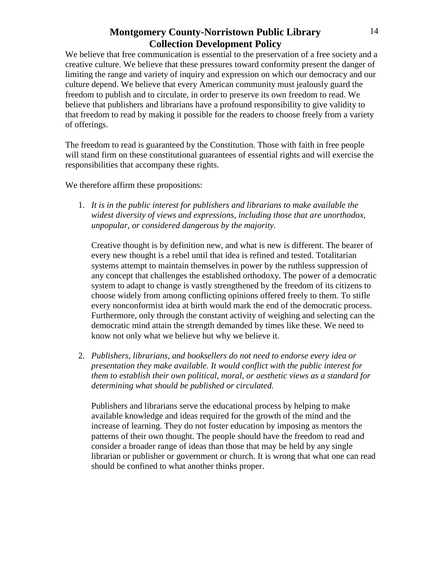We believe that free communication is essential to the preservation of a free society and a creative culture. We believe that these pressures toward conformity present the danger of limiting the range and variety of inquiry and expression on which our democracy and our culture depend. We believe that every American community must jealously guard the freedom to publish and to circulate, in order to preserve its own freedom to read. We believe that publishers and librarians have a profound responsibility to give validity to that freedom to read by making it possible for the readers to choose freely from a variety of offerings.

The freedom to read is guaranteed by the Constitution. Those with faith in free people will stand firm on these constitutional guarantees of essential rights and will exercise the responsibilities that accompany these rights.

We therefore affirm these propositions:

1. *It is in the public interest for publishers and librarians to make available the widest diversity of views and expressions, including those that are unorthodox, unpopular, or considered dangerous by the majority.*

Creative thought is by definition new, and what is new is different. The bearer of every new thought is a rebel until that idea is refined and tested. Totalitarian systems attempt to maintain themselves in power by the ruthless suppression of any concept that challenges the established orthodoxy. The power of a democratic system to adapt to change is vastly strengthened by the freedom of its citizens to choose widely from among conflicting opinions offered freely to them. To stifle every nonconformist idea at birth would mark the end of the democratic process. Furthermore, only through the constant activity of weighing and selecting can the democratic mind attain the strength demanded by times like these. We need to know not only what we believe but why we believe it.

2. *Publishers, librarians, and booksellers do not need to endorse every idea or presentation they make available. It would conflict with the public interest for them to establish their own political, moral, or aesthetic views as a standard for determining what should be published or circulated.*

Publishers and librarians serve the educational process by helping to make available knowledge and ideas required for the growth of the mind and the increase of learning. They do not foster education by imposing as mentors the patterns of their own thought. The people should have the freedom to read and consider a broader range of ideas than those that may be held by any single librarian or publisher or government or church. It is wrong that what one can read should be confined to what another thinks proper.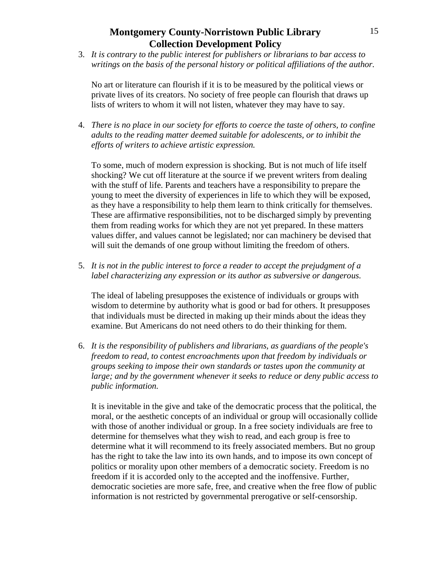3. *It is contrary to the public interest for publishers or librarians to bar access to writings on the basis of the personal history or political affiliations of the author.*

No art or literature can flourish if it is to be measured by the political views or private lives of its creators. No society of free people can flourish that draws up lists of writers to whom it will not listen, whatever they may have to say.

4. *There is no place in our society for efforts to coerce the taste of others, to confine adults to the reading matter deemed suitable for adolescents, or to inhibit the efforts of writers to achieve artistic expression.*

To some, much of modern expression is shocking. But is not much of life itself shocking? We cut off literature at the source if we prevent writers from dealing with the stuff of life. Parents and teachers have a responsibility to prepare the young to meet the diversity of experiences in life to which they will be exposed, as they have a responsibility to help them learn to think critically for themselves. These are affirmative responsibilities, not to be discharged simply by preventing them from reading works for which they are not yet prepared. In these matters values differ, and values cannot be legislated; nor can machinery be devised that will suit the demands of one group without limiting the freedom of others.

5. *It is not in the public interest to force a reader to accept the prejudgment of a label characterizing any expression or its author as subversive or dangerous.*

The ideal of labeling presupposes the existence of individuals or groups with wisdom to determine by authority what is good or bad for others. It presupposes that individuals must be directed in making up their minds about the ideas they examine. But Americans do not need others to do their thinking for them.

6. *It is the responsibility of publishers and librarians, as guardians of the people's freedom to read, to contest encroachments upon that freedom by individuals or groups seeking to impose their own standards or tastes upon the community at large; and by the government whenever it seeks to reduce or deny public access to public information.*

It is inevitable in the give and take of the democratic process that the political, the moral, or the aesthetic concepts of an individual or group will occasionally collide with those of another individual or group. In a free society individuals are free to determine for themselves what they wish to read, and each group is free to determine what it will recommend to its freely associated members. But no group has the right to take the law into its own hands, and to impose its own concept of politics or morality upon other members of a democratic society. Freedom is no freedom if it is accorded only to the accepted and the inoffensive. Further, democratic societies are more safe, free, and creative when the free flow of public information is not restricted by governmental prerogative or self-censorship.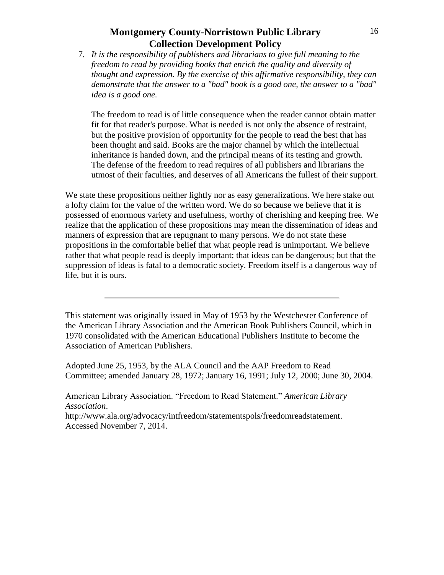7. *It is the responsibility of publishers and librarians to give full meaning to the freedom to read by providing books that enrich the quality and diversity of thought and expression. By the exercise of this affirmative responsibility, they can demonstrate that the answer to a "bad" book is a good one, the answer to a "bad" idea is a good one.*

The freedom to read is of little consequence when the reader cannot obtain matter fit for that reader's purpose. What is needed is not only the absence of restraint, but the positive provision of opportunity for the people to read the best that has been thought and said. Books are the major channel by which the intellectual inheritance is handed down, and the principal means of its testing and growth. The defense of the freedom to read requires of all publishers and librarians the utmost of their faculties, and deserves of all Americans the fullest of their support.

We state these propositions neither lightly nor as easy generalizations. We here stake out a lofty claim for the value of the written word. We do so because we believe that it is possessed of enormous variety and usefulness, worthy of cherishing and keeping free. We realize that the application of these propositions may mean the dissemination of ideas and manners of expression that are repugnant to many persons. We do not state these propositions in the comfortable belief that what people read is unimportant. We believe rather that what people read is deeply important; that ideas can be dangerous; but that the suppression of ideas is fatal to a democratic society. Freedom itself is a dangerous way of life, but it is ours.

This statement was originally issued in May of 1953 by the Westchester Conference of the American Library Association and the American Book Publishers Council, which in 1970 consolidated with the American Educational Publishers Institute to become the Association of American Publishers.

Adopted June 25, 1953, by the ALA Council and the AAP Freedom to Read Committee; amended January 28, 1972; January 16, 1991; July 12, 2000; June 30, 2004.

American Library Association. "Freedom to Read Statement." *American Library Association*.

[http://www.ala.org/advocacy/intfreedom/statementspols/freedomreadstatement.](http://www.ala.org/advocacy/intfreedom/statementspols/freedomreadstatement) Accessed November 7, 2014.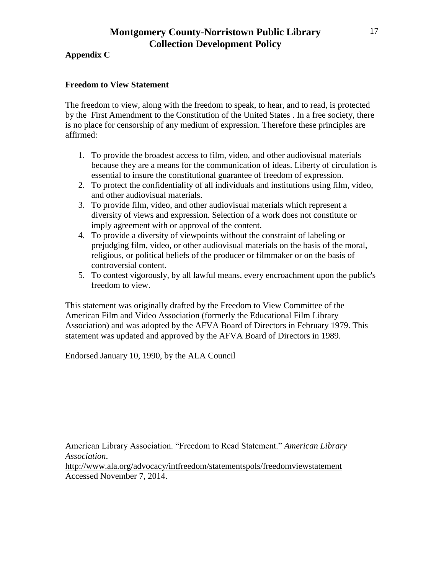### **Appendix C**

### **Freedom to View Statement**

The freedom to view, along with the freedom to speak, to hear, and to read, is protected by the [First Amendment to the Constitution of the United States](http://www.ala.org/advocacy/intfreedom/censorshipfirstamendmentissues/firstamendment) . In a free society, there is no place for censorship of any medium of expression. Therefore these principles are affirmed:

- 1. To provide the broadest access to film, video, and other audiovisual materials because they are a means for the communication of ideas. Liberty of circulation is essential to insure the constitutional guarantee of freedom of expression.
- 2. To protect the confidentiality of all individuals and institutions using film, video, and other audiovisual materials.
- 3. To provide film, video, and other audiovisual materials which represent a diversity of views and expression. Selection of a work does not constitute or imply agreement with or approval of the content.
- 4. To provide a diversity of viewpoints without the constraint of labeling or prejudging film, video, or other audiovisual materials on the basis of the moral, religious, or political beliefs of the producer or filmmaker or on the basis of controversial content.
- 5. To contest vigorously, by all lawful means, every encroachment upon the public's freedom to view.

This statement was originally drafted by the Freedom to View Committee of the American Film and Video Association (formerly the Educational Film Library Association) and was adopted by the AFVA Board of Directors in February 1979. This statement was updated and approved by the AFVA Board of Directors in 1989.

Endorsed January 10, 1990, by the ALA Council

American Library Association. "Freedom to Read Statement." *American Library Association*.

<http://www.ala.org/advocacy/intfreedom/statementspols/freedomviewstatement> Accessed November 7, 2014.